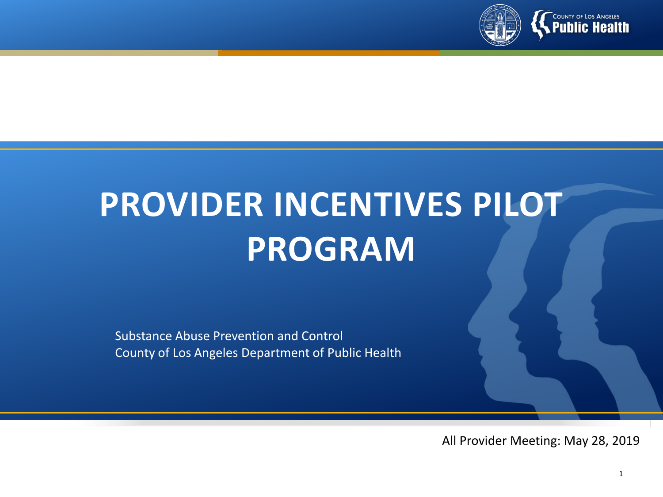

# **PROVIDER INCENTIVES PILOT PROGRAM**

Substance Abuse Prevention and Control County of Los Angeles Department of Public Health

All Provider Meeting: May 28, 2019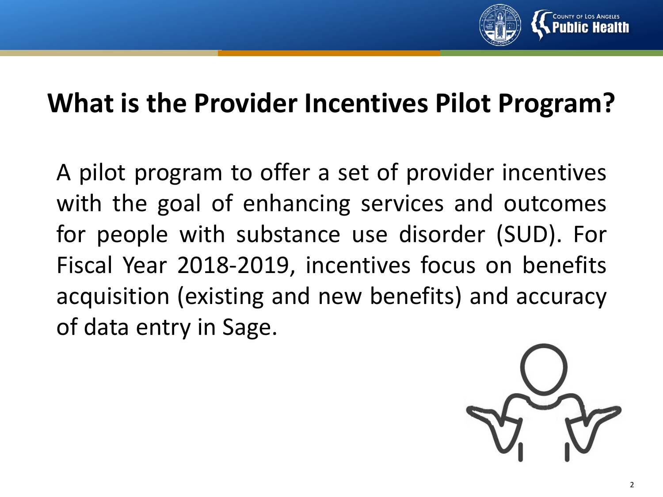

#### **What is the Provider Incentives Pilot Program?**

A pilot program to offer a set of provider incentives with the goal of enhancing services and outcomes for people with substance use disorder (SUD). For Fiscal Year 2018-2019, incentives focus on benefits acquisition (existing and new benefits) and accuracy of data entry in Sage.

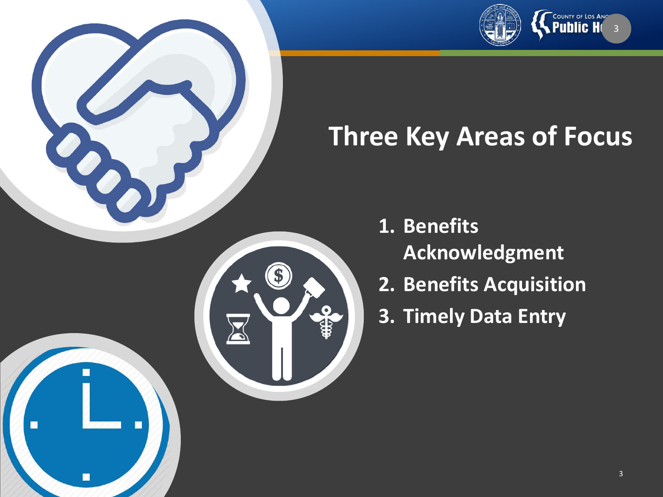

# **Three Key Areas of Focus**

O

C

- **1. Benefits Acknowledgment**
- **2. Benefits Acquisition**
- **3. Timely Data Entry**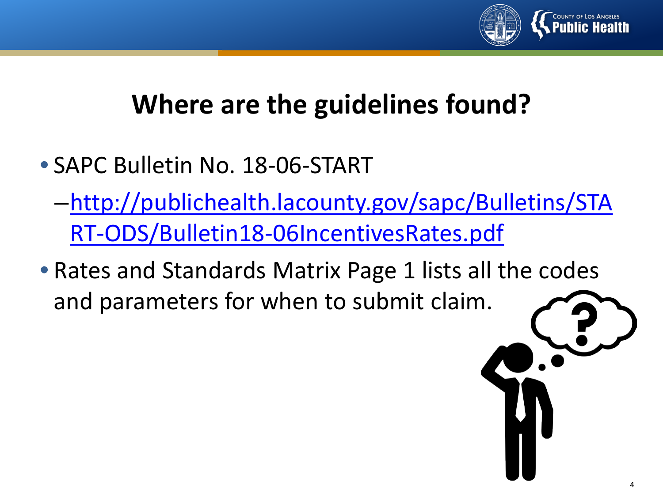

## **Where are the guidelines found?**

- SAPC Bulletin No. 18-06-START
	- –[http://publichealth.lacounty.gov/sapc/Bulletins/STA](http://publichealth.lacounty.gov/sapc/Bulletins/START-ODS/Bulletin18-06IncentivesRates.pdf) RT-ODS/Bulletin18-06IncentivesRates.pdf
- Rates and Standards Matrix Page 1 lists all the codes and parameters for when to submit claim.

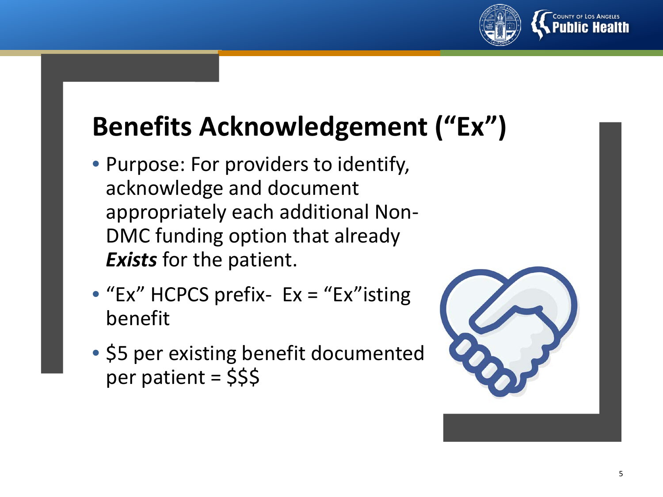

# **Benefits Acknowledgement ("Ex")**

- Purpose: For providers to identify, acknowledge and document appropriately each additional Non-DMC funding option that already *Exists* for the patient.
- "Ex" HCPCS prefix- Ex = "Ex"isting benefit
- \$5 per existing benefit documented per patient = \$\$\$

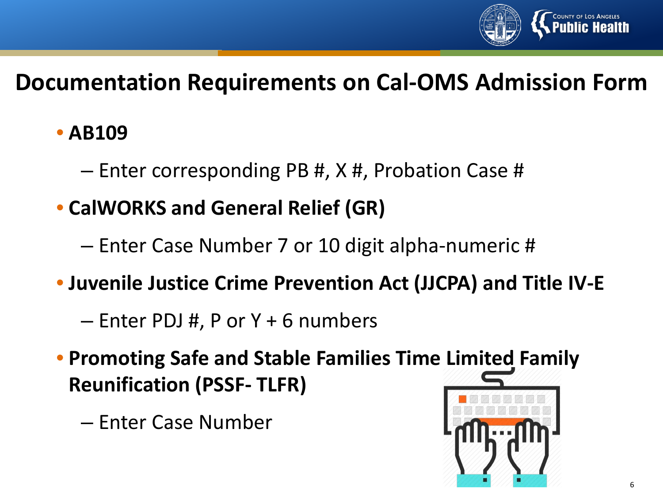

#### **Documentation Requirements on Cal-OMS Admission Form**

#### • **AB109**

- Enter corresponding PB #, X #, Probation Case #
- **CalWORKS and General Relief (GR)**
	- Enter Case Number 7 or 10 digit alpha-numeric #
- **Juvenile Justice Crime Prevention Act (JJCPA) and Title IV-E**
	- Enter PDJ #, P or Y + 6 numbers
- **Promoting Safe and Stable Families Time Limited Family Reunification (PSSF- TLFR)**
	- Enter Case Number

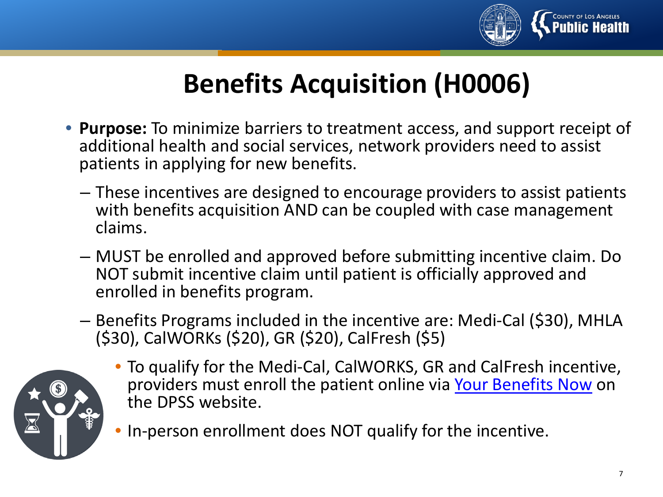

## **Benefits Acquisition (H0006)**

- **Purpose:** To minimize barriers to treatment access, and support receipt of additional health and social services, network providers need to assist patients in applying for new benefits.
	- These incentives are designed to encourage providers to assist patients with benefits acquisition AND can be coupled with case management claims.
	- MUST be enrolled and approved before submitting incentive claim. Do NOT submit incentive claim until patient is officially approved and enrolled in benefits program.
	- Benefits Programs included in the incentive are: Medi-Cal (\$30), MHLA (\$30), CalWORKs (\$20), GR (\$20), CalFresh (\$5)



- To qualify for the Medi-Cal, CalWORKS, GR and CalFresh incentive, providers must enroll the patient online via [Your Benefits Now](https://yourbenefits.laclrs.org/ybn/Index.html) on the DPSS website.
- In-person enrollment does NOT qualify for the incentive.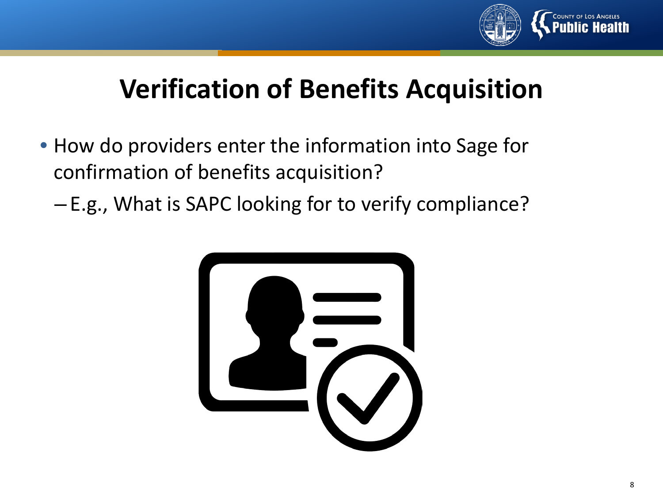

## **Verification of Benefits Acquisition**

- How do providers enter the information into Sage for confirmation of benefits acquisition?
	- E.g., What is SAPC looking for to verify compliance?

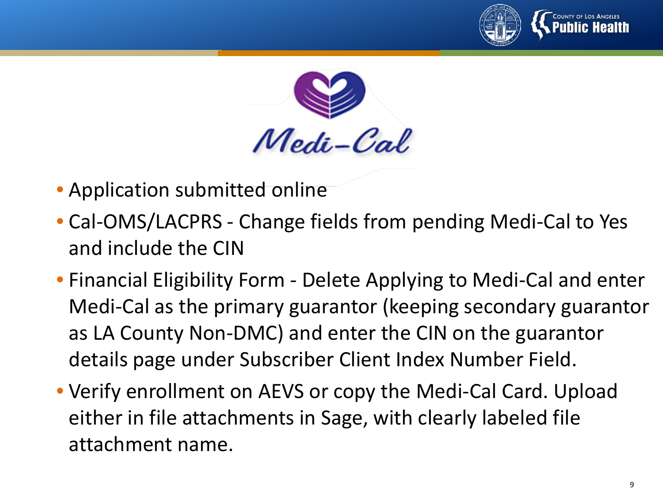



- Application submitted online
- Cal-OMS/LACPRS Change fields from pending Medi-Cal to Yes and include the CIN
- Financial Eligibility Form Delete Applying to Medi-Cal and enter Medi-Cal as the primary guarantor (keeping secondary guarantor as LA County Non-DMC) and enter the CIN on the guarantor details page under Subscriber Client Index Number Field.
- Verify enrollment on AEVS or copy the Medi-Cal Card. Upload either in file attachments in Sage, with clearly labeled file attachment name.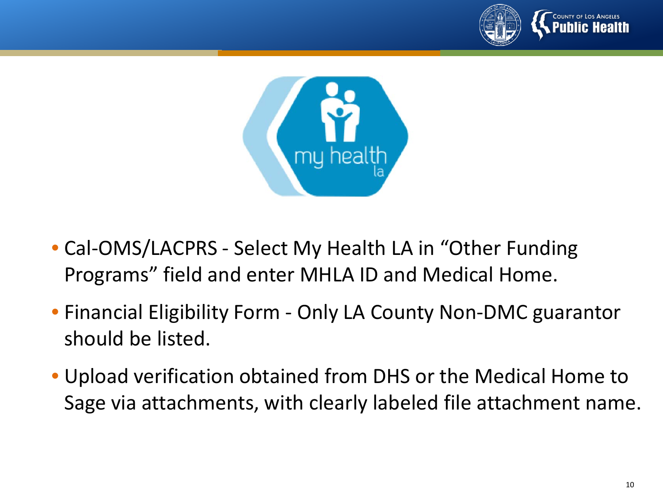



- Cal-OMS/LACPRS Select My Health LA in "Other Funding Programs" field and enter MHLA ID and Medical Home.
- Financial Eligibility Form Only LA County Non-DMC guarantor should be listed.
- Upload verification obtained from DHS or the Medical Home to Sage via attachments, with clearly labeled file attachment name.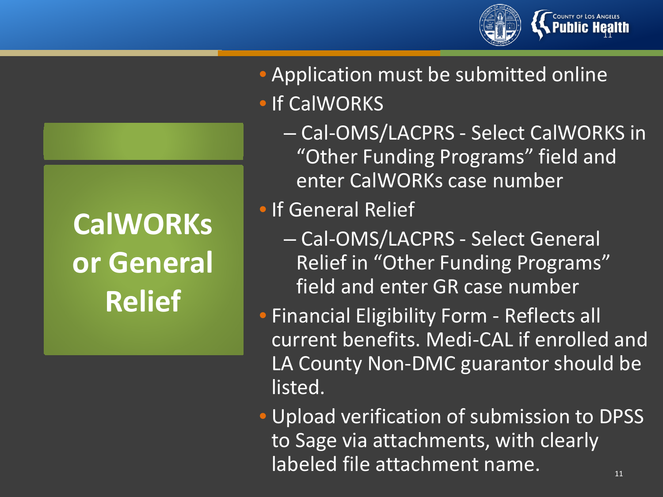# COUNTY OF LOS ANGELES<br>**PUblic Heal**

# **CalWORKs or General Relief**

- Application must be submitted online • If CalWORKS
	- Cal-OMS/LACPRS Select CalWORKS in "Other Funding Programs" field and enter CalWORKs case number
- If General Relief
	- Cal-OMS/LACPRS Select General Relief in "Other Funding Programs" field and enter GR case number
- Financial Eligibility Form Reflects all current benefits. Medi-CAL if enrolled and LA County Non-DMC guarantor should be listed.
- Upload verification of submission to DPSS to Sage via attachments, with clearly labeled file attachment name. 11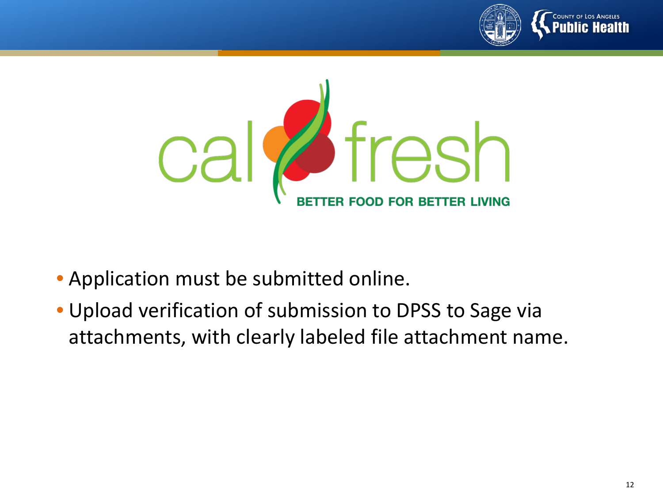



- Application must be submitted online.
- Upload verification of submission to DPSS to Sage via attachments, with clearly labeled file attachment name.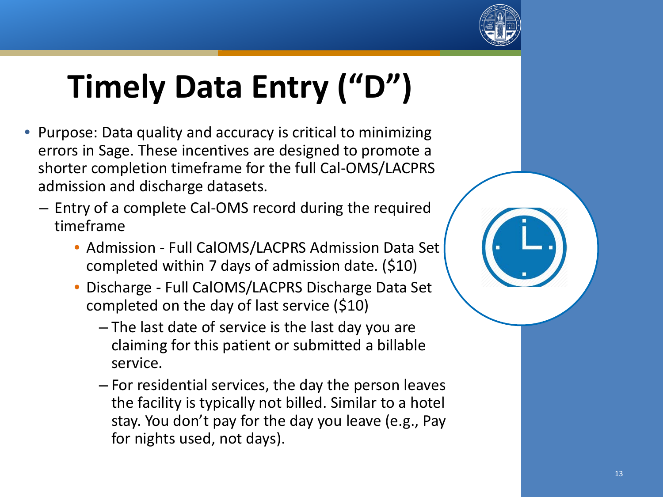

# **Timely Data Entry ("D")**

- Purpose: Data quality and accuracy is critical to minimizing errors in Sage. These incentives are designed to promote a shorter completion timeframe for the full Cal-OMS/LACPRS admission and discharge datasets.
	- Entry of a complete Cal-OMS record during the required timeframe
		- Admission Full CalOMS/LACPRS Admission Data Set completed within 7 days of admission date. (\$10)
		- Discharge Full CalOMS/LACPRS Discharge Data Set completed on the day of last service (\$10)
			- The last date of service is the last day you are claiming for this patient or submitted a billable service.
			- For residential services, the day the person leaves the facility is typically not billed. Similar to a hotel stay. You don't pay for the day you leave (e.g., Pay for nights used, not days).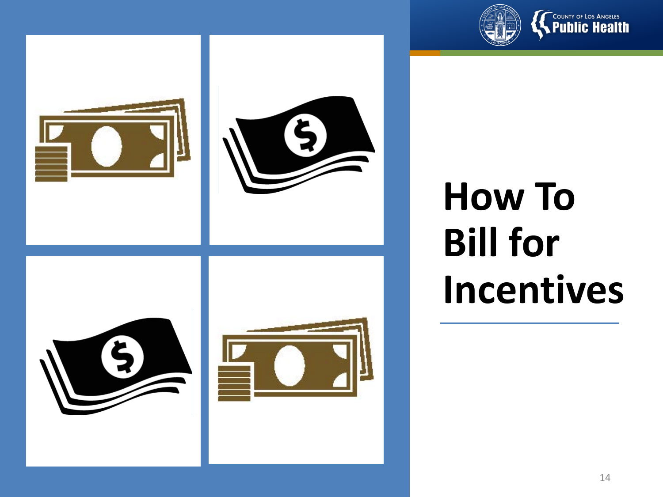











# **How To Bill for Incentives**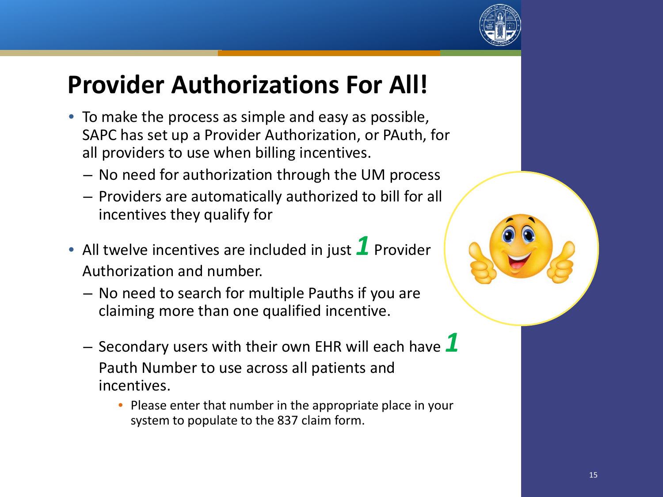

### **Provider Authorizations For All!**

- To make the process as simple and easy as possible, SAPC has set up a Provider Authorization, or PAuth, for all providers to use when billing incentives.
	- No need for authorization through the UM process
	- Providers are automatically authorized to bill for all incentives they qualify for
- All twelve incentives are included in just **1** Provider Authorization and number.
	- No need to search for multiple Pauths if you are claiming more than one qualified incentive.
	- Secondary users with their own EHR will each have *1* Pauth Number to use across all patients and incentives.
		- Please enter that number in the appropriate place in your system to populate to the 837 claim form.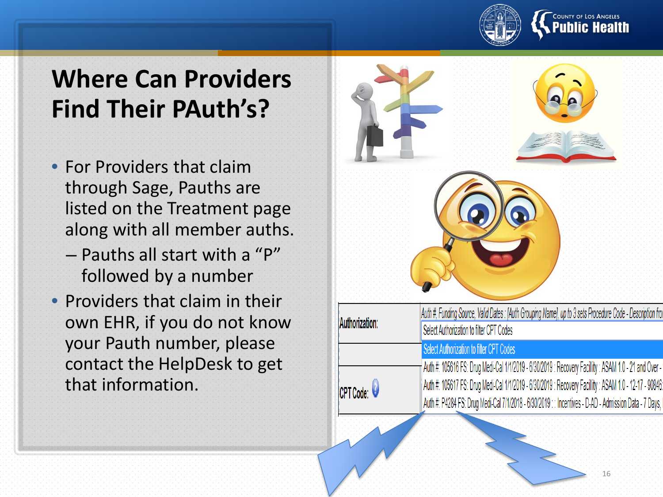

### **Where Can Providers Find Their PAuth's ?**

- For Providers that claim through Sage, Pauths are listed on the Treatment page along with all member auths.
	- Pauths all start with a "P" followed by a number
- Providers that claim in their own EHR, if you do not know your Pauth number, please contact the HelpDesk to get that information.

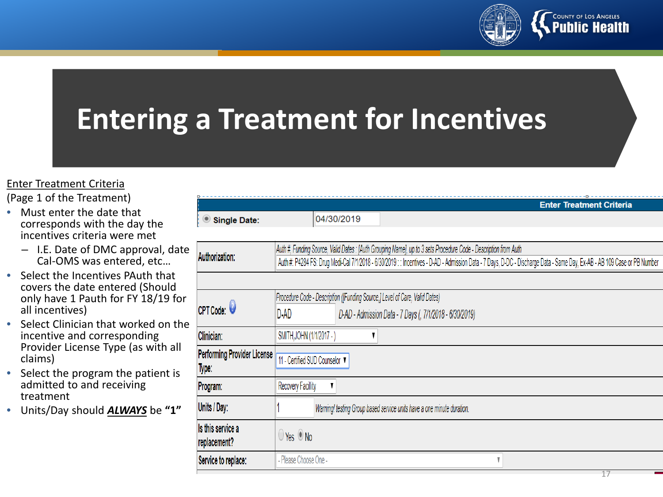

# **Entering a Treatment for Incentives**

#### Enter Treatment Criteria

(Page 1 of the Treatment)

- Must enter the date that corresponds with the day the incentives criteria were met
	- I.E. Date of DMC approval, date Cal-OMS was entered, etc…
- Select the Incentives PAuth that covers the date entered (Should only have 1 Pauth for FY 18/19 for all incentives)
- Select Clinician that worked on the incentive and corresponding Provider License Type (as with all claims)
- Select the program the patient is admitted to and receiving treatment
- Units/Day should *ALWAYS* be **"1"**

|                                      | <b>Enter Treatment Criteria</b>                                                                                                                                         |  |  |  |  |  |  |  |  |
|--------------------------------------|-------------------------------------------------------------------------------------------------------------------------------------------------------------------------|--|--|--|--|--|--|--|--|
| Single Date:                         | 04/30/2019                                                                                                                                                              |  |  |  |  |  |  |  |  |
|                                      |                                                                                                                                                                         |  |  |  |  |  |  |  |  |
|                                      | Auth #, Funding Source, Valid Dates : [Auth Grouping Name], up to 3 sets Procedure Code - Description from Auth                                                         |  |  |  |  |  |  |  |  |
| Authorization:                       | Auth #: P4284 FS: Drug Medi-Cal 7/1/2018 - 6/30/2019 :: Incentives - D-AD - Admission Data - 7 Days, D-DC - Discharge Data - Same Day, Ex-AB - AB 109 Case or PB Number |  |  |  |  |  |  |  |  |
|                                      |                                                                                                                                                                         |  |  |  |  |  |  |  |  |
|                                      | Procedure Code - Description ([Funding Source,] Level of Care, Valid Dates)                                                                                             |  |  |  |  |  |  |  |  |
| CPT Code:                            | D-AD<br>D-AD - Admission Data - 7 Days (, 7/1/2018 - 6/30/2019)                                                                                                         |  |  |  |  |  |  |  |  |
| Clinician:                           | SMITH, JOHN (1/1/2017 - )                                                                                                                                               |  |  |  |  |  |  |  |  |
| Performing Provider License<br>Type: | 11 - Certified SUD Counselor ▼                                                                                                                                          |  |  |  |  |  |  |  |  |
|                                      |                                                                                                                                                                         |  |  |  |  |  |  |  |  |
| Program:                             | <b>Recovery Facillity</b>                                                                                                                                               |  |  |  |  |  |  |  |  |
| Units / Day:                         | Warning! testing Group based service units have a one minute duration.                                                                                                  |  |  |  |  |  |  |  |  |
| ls this service a<br>replacement?    | $\bigcirc$ Yes $\bigcirc$ No                                                                                                                                            |  |  |  |  |  |  |  |  |
| Service to replace:                  | - Please Choose One -                                                                                                                                                   |  |  |  |  |  |  |  |  |
|                                      | 17                                                                                                                                                                      |  |  |  |  |  |  |  |  |